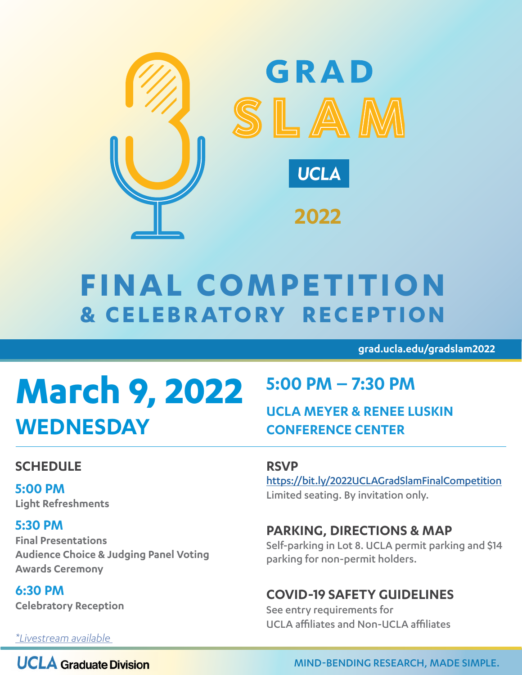

## **FINAL COMPETITION & CELEBRATORY RECEPTION**

**grad.ucla.edu/gradslam2022**

# **March 9, 2022 WEDNESDAY**

## **5:00 PM – 7:30 PM**

## **UCLA MEYER & RENEE LUSKIN CONFERENCE CENTER**

## **SCHEDULE**

**5:00 PM Light Refreshments**

### **5:30 PM**

**Final Presentations Audience Choice & Judging Panel Voting Awards Ceremony**

**6:30 PM Celebratory Reception**

### **RSVP**

<https://bit.ly/2022UCLAGradSlamFinalCompetition> Limited seating. By invitation only.

### **PARKING, DIRECTIONS & MAP**

Self-parking in Lot 8. UCLA permit parking and \$14 parking for non-permit holders.

## **COVID-19 SAFETY GUIDELINES**

See entry requirements for UCLA affiliates and Non-UCLA affiliates

*[\\*Livestream available](https://grad.ucla.edu/life-at-ucla/events/2022-ucla-grad-slam/finals-competition-live-stream/)* 

**UCLA** Graduate Division

MIND-BENDING RESEARCH, MADE SIMPLE.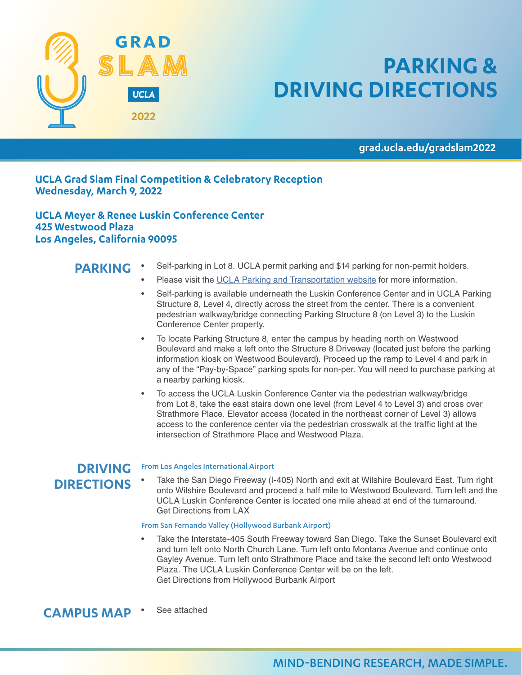

## **PARKING & DRIVING DIRECTIONS**

**grad.ucla.edu/gradslam2022**

#### **UCLA Grad Slam Final Competition & Celebratory Reception Wednesday, March 9, 2022**

**UCLA Meyer & Renee Luskin Conference Center 425 Westwood Plaza Los Angeles, California 90095**

#### **PARKING**

- Self-parking in Lot 8. UCLA permit parking and \$14 parking for non-permit holders.
- Please visit the [UCLA Parking and Transportation website](https://www.transportation.ucla.edu/campus-parking/visitors/luskin-conference-center-lcc) for more information.
- Self-parking is available underneath the Luskin Conference Center and in UCLA Parking Structure 8, Level 4, directly across the street from the center. There is a convenient pedestrian walkway/bridge connecting Parking Structure 8 (on Level 3) to the Luskin Conference Center property.
- To locate Parking Structure 8, enter the campus by heading north on Westwood Boulevard and make a left onto the Structure 8 Driveway (located just before the parking information kiosk on Westwood Boulevard). Proceed up the ramp to Level 4 and park in any of the "Pay-by-Space" parking spots for non-per. You will need to purchase parking at a nearby parking kiosk.
- To access the UCLA Luskin Conference Center via the pedestrian walkway/bridge from Lot 8, take the east stairs down one level (from Level 4 to Level 3) and cross over Strathmore Place. Elevator access (located in the northeast corner of Level 3) allows access to the conference center via the pedestrian crosswalk at the traffic light at the intersection of Strathmore Place and Westwood Plaza.

#### **DRIVING DIRECTIONS**

#### From Los Angeles International Airport

• Take the San Diego Freeway (I-405) North and exit at Wilshire Boulevard East. Turn right onto Wilshire Boulevard and proceed a half mile to Westwood Boulevard. Turn left and the UCLA Luskin Conference Center is located one mile ahead at end of the turnaround. Get Directions from LAX

#### From San Fernando Valley (Hollywood Burbank Airport)

• Take the Interstate-405 South Freeway toward San Diego. Take the Sunset Boulevard exit and turn left onto North Church Lane. Turn left onto Montana Avenue and continue onto Gayley Avenue. Turn left onto Strathmore Place and take the second left onto Westwood Plaza. The UCLA Luskin Conference Center will be on the left. Get Directions from Hollywood Burbank Airport

See attached **CAMPUS MAP**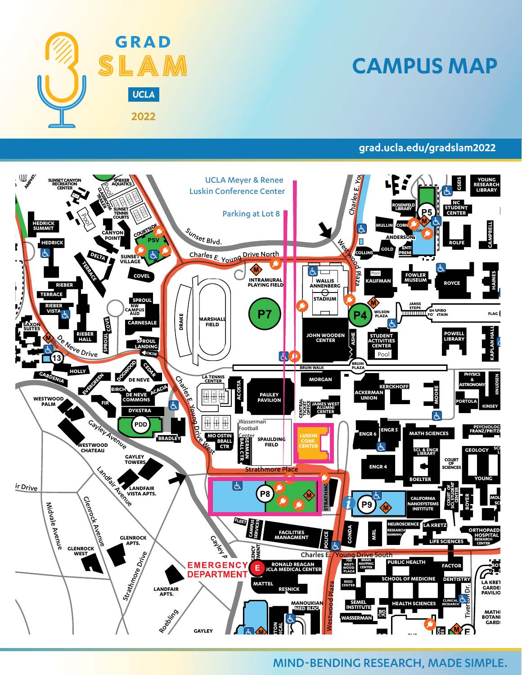

Bellagio Drive

## **CAMPUS MAP**

#### **grad.ucla.edu/gradslam2022**

**BROAD ART CENTER**



#### MIND-BENDING RESEARCH, MADE SIMPLE. **GOLDBERG DORIS STEIN**